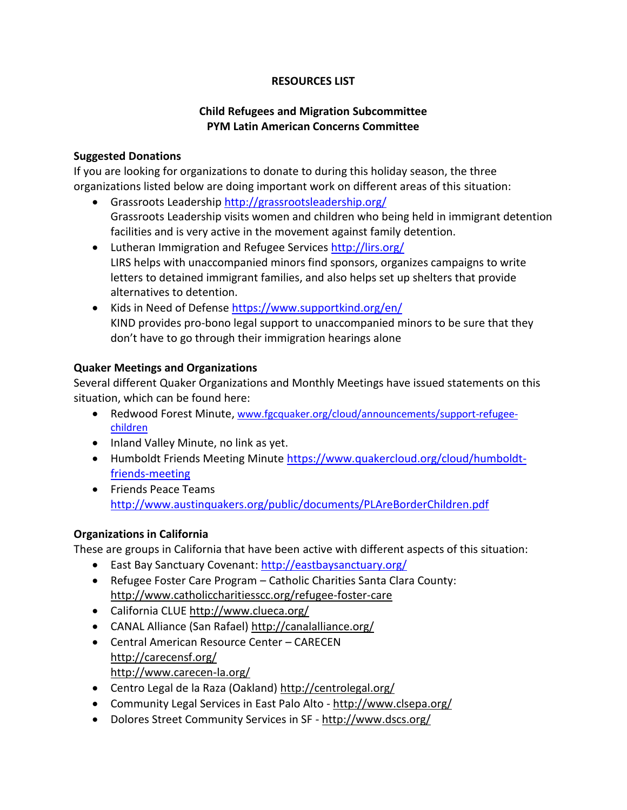#### **RESOURCES LIST**

# **Child Refugees and Migration Subcommittee PYM Latin American Concerns Committee**

#### **Suggested Donations**

If you are looking for organizations to donate to during this holiday season, the three organizations listed below are doing important work on different areas of this situation:

- Grassroots Leadership<http://grassrootsleadership.org/> Grassroots Leadership visits women and children who being held in immigrant detention facilities and is very active in the movement against family detention.
- Lutheran Immigration and Refugee Services<http://lirs.org/> LIRS helps with unaccompanied minors find sponsors, organizes campaigns to write letters to detained immigrant families, and also helps set up shelters that provide alternatives to detention.
- Kids in Need of Defense [https://www.supportkind.org/en/](https://www.supportkind.org/en/about-us) KIND provides pro-bono legal support to unaccompanied minors to be sure that they don't have to go through their immigration hearings alone

#### **Quaker Meetings and Organizations**

Several different Quaker Organizations and Monthly Meetings have issued statements on this situation, which can be found here:

- Redwood Forest Minute, [www.fgcquaker.org/cloud/announcements/support-refugee](http://www.fgcquaker.org/cloud/announcements/support-refugee-children)[children](http://www.fgcquaker.org/cloud/announcements/support-refugee-children)
- Inland Valley Minute, no link as yet.
- Humboldt Friends Meeting Minute [https://www.quakercloud.org/cloud/humboldt](https://www.quakercloud.org/cloud/humboldt-friends-meeting)[friends-meeting](https://www.quakercloud.org/cloud/humboldt-friends-meeting)
- Friends Peace Teams <http://www.austinquakers.org/public/documents/PLAreBorderChildren.pdf>

## **Organizations in California**

These are groups in California that have been active with different aspects of this situation:

- East Bay Sanctuary Covenant:<http://eastbaysanctuary.org/>
- Refugee Foster Care Program Catholic Charities Santa Clara County: <http://www.catholiccharitiesscc.org/refugee-foster-care>
- California CLUE<http://www.clueca.org/>
- CANAL Alliance (San Rafael) <http://canalalliance.org/>
- Central American Resource Center CARECEN <http://carecensf.org/> <http://www.carecen-la.org/>
- Centro Legal de la Raza (Oakland) <http://centrolegal.org/>
- Community Legal Services in East Palo Alto <http://www.clsepa.org/>
- Dolores Street Community Services in SF <http://www.dscs.org/>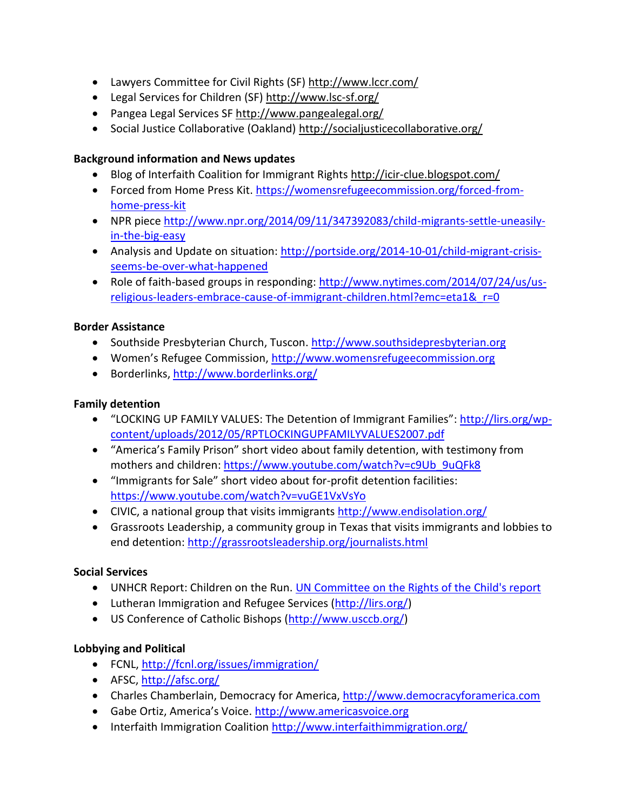- Lawyers Committee for Civil Rights (SF) <http://www.lccr.com/>
- Legal Services for Children (SF) <http://www.lsc-sf.org/>
- Pangea Legal Services SF <http://www.pangealegal.org/>
- Social Justice Collaborative (Oakland) <http://socialjusticecollaborative.org/>

# **Background information and News updates**

- Blog of Interfaith Coalition for Immigrant Rights<http://icir-clue.blogspot.com/>
- Forced from Home Press Kit. [https://womensrefugeecommission.org/forced-from](https://womensrefugeecommission.org/forced-from-home-press-kit)[home-press-kit](https://womensrefugeecommission.org/forced-from-home-press-kit)
- NPR piece [http://www.npr.org/2014/09/11/347392083/child-migrants-settle-uneasily](http://www.npr.org/2014/09/11/347392083/child-migrants-settle-uneasily-in-the-big-easy)[in-the-big-easy](http://www.npr.org/2014/09/11/347392083/child-migrants-settle-uneasily-in-the-big-easy)
- Analysis and Update on situation: [http://portside.org/2014-10-01/child-migrant-crisis](http://portside.org/2014-10-01/child-migrant-crisis-seems-be-over-what-happened)[seems-be-over-what-happened](http://portside.org/2014-10-01/child-migrant-crisis-seems-be-over-what-happened)
- Role of faith-based groups in responding: [http://www.nytimes.com/2014/07/24/us/us](http://www.nytimes.com/2014/07/24/us/us-religious-leaders-embrace-cause-of-immigrant-children.html?emc=eta1&_r=0)[religious-leaders-embrace-cause-of-immigrant-children.html?emc=eta1&\\_r=0](http://www.nytimes.com/2014/07/24/us/us-religious-leaders-embrace-cause-of-immigrant-children.html?emc=eta1&_r=0)

## **Border Assistance**

- Southside Presbyterian Church, Tuscon. [http://www.southsidepresbyterian.org](http://www.southsidepresbyterian.org/)
- Women's Refugee Commission, [http://www.womensrefugeecommission.org](http://www.womensrefugeecommission.org/)
- Borderlinks,<http://www.borderlinks.org/>

#### **Family detention**

- "LOCKING UP FAMILY VALUES: The Detention of Immigrant Families": [http://lirs.org/wp](http://lirs.org/wp-content/uploads/2012/05/RPTLOCKINGUPFAMILYVALUES2007.pdf)[content/uploads/2012/05/RPTLOCKINGUPFAMILYVALUES2007.pdf](http://lirs.org/wp-content/uploads/2012/05/RPTLOCKINGUPFAMILYVALUES2007.pdf)
- "America's Family Prison" short video about family detention, with testimony from mothers and children: [https://www.youtube.com/watch?v=c9Ub\\_9uQFk8](https://www.youtube.com/watch?v=c9Ub_9uQFk8)
- "Immigrants for Sale" short video about for-profit detention facilities: <https://www.youtube.com/watch?v=vuGE1VxVsYo>
- CIVIC, a national group that visits immigrants<http://www.endisolation.org/>
- Grassroots Leadership, a community group in Texas that visits immigrants and lobbies to end detention:<http://grassrootsleadership.org/journalists.html>

## **Social Services**

- UNHCR Report: Children on the Run. [UN Committee on the Rights of the Child's report](http://www.womensrefugeecommission.org/component/docman/?task=doc_download&gid=906&Itemid=149)
- Lutheran Immigration and Refugee Services [\(http://lirs.org/\)](http://lirs.org/)
- US Conference of Catholic Bishops [\(http://www.usccb.org/\)](http://www.usccb.org/)

## **Lobbying and Political**

- FCNL, <http://fcnl.org/issues/immigration/>
- AFSC, <http://afsc.org/>
- Charles Chamberlain, Democracy for America, [http://www.democracyforamerica.com](http://www.democracyforamerica.com/)
- Gabe Ortiz, America's Voice. [http://www.americasvoice.org](http://www.americasvoice.org/)
- Interfaith Immigration Coalition<http://www.interfaithimmigration.org/>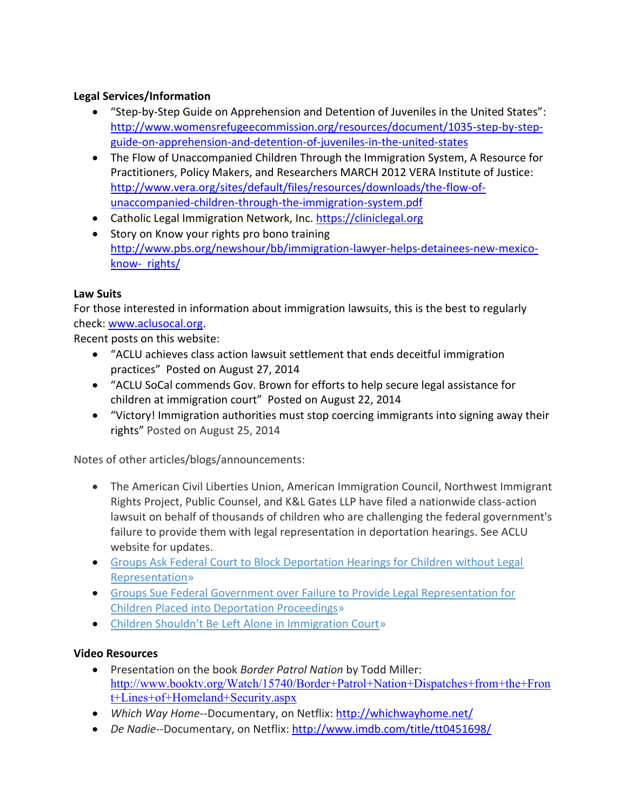# **Legal Services/Information**

- "Step-by-Step Guide on Apprehension and Detention of Juveniles in the United States": [http://www.womensrefugeecommission.org/resources/document/1035-step-by-step](http://www.womensrefugeecommission.org/resources/document/1035-step-by-step-guide-on-apprehension-and-detention-of-juveniles-in-the-united-states)[guide-on-apprehension-and-detention-of-juveniles-in-the-united-states](http://www.womensrefugeecommission.org/resources/document/1035-step-by-step-guide-on-apprehension-and-detention-of-juveniles-in-the-united-states)
- The Flow of Unaccompanied Children Through the Immigration System, A Resource for Practitioners, Policy Makers, and Researchers MARCH 2012 VERA Institute of Justice: [http://www.vera.org/sites/default/files/resources/downloads/the-flow-of](http://www.vera.org/sites/default/files/resources/downloads/the-flow-of-%09unaccompanied-children-through-the-immigration-system.pdf)[unaccompanied-children-through-the-immigration-system.pdf](http://www.vera.org/sites/default/files/resources/downloads/the-flow-of-%09unaccompanied-children-through-the-immigration-system.pdf)
- Catholic Legal Immigration Network, Inc[. https://cliniclegal.org](https://cliniclegal.org/)
- Story on Know your rights pro bono training [http://www.pbs.org/newshour/bb/immigration-lawyer-helps-detainees-new-mexico](http://www.pbs.org/newshour/bb/immigration-lawyer-helps-detainees-new-mexico-know-%20%20rights/)[know- rights/](http://www.pbs.org/newshour/bb/immigration-lawyer-helps-detainees-new-mexico-know-%20%20rights/)

## **Law Suits**

For those interested in information about immigration lawsuits, this is the best to regularly check: [www.aclusocal.org.](http://www.aclusocal.org/)

Recent posts on this website:

- "ACLU achieves class action lawsuit settlement that ends deceitful immigration practices" Posted on August 27, 2014
- "ACLU SoCal commends Gov. Brown for efforts to help secure legal assistance for children at immigration court" Posted on August 22, 2014
- "Victory! Immigration authorities must stop coercing immigrants into signing away their rights" Posted on August 25, 2014

Notes of other articles/blogs/announcements:

- The American Civil Liberties Union, American Immigration Council, Northwest Immigrant Rights Project, Public Counsel, and K&L Gates LLP have filed a nationwide class-action lawsuit on behalf of thousands of children who are challenging the federal government's failure to provide them with legal representation in deportation hearings. See ACLU website for updates.
- [Groups Ask Federal Court to Block Deportation Hearings for Children without Legal](https://www.aclu.org/immigrants-rights/groups-ask-federal-court-block-deportation-hearings-children-without-legal)  [Representation»](https://www.aclu.org/immigrants-rights/groups-ask-federal-court-block-deportation-hearings-children-without-legal)
- [Groups Sue Federal Government over Failure to Provide Legal Representation for](https://www.aclu.org/immigrants-rights/groups-sue-federal-government-over-failure-provide-legal-representation-children)  [Children Placed into Deportation Proceedings»](https://www.aclu.org/immigrants-rights/groups-sue-federal-government-over-failure-provide-legal-representation-children)
- [Children Shouldn't Be Left Alone in Immigration Court](https://www.aclu.org/blog/immigrants-rights-racial-justice/children-shouldnt-be-left-alone-immigration-court)»

# **Video Resources**

- Presentation on the book *Border Patrol Nation* by Todd Miller: [http://www.booktv.org/Watch/15740/Border+Patrol+Nation+Dispatches+from+the+Fron](http://www.booktv.org/Watch/15740/Border+Patrol+Nation+Dispatches+from+the+Front+Lines+of+Homeland+Security.aspx) [t+Lines+of+Homeland+Security.aspx](http://www.booktv.org/Watch/15740/Border+Patrol+Nation+Dispatches+from+the+Front+Lines+of+Homeland+Security.aspx)
- Which Way Home--Documentary, on Netflix:<http://whichwayhome.net/>
- *De Nadie*--Documentary, on Netflix:<http://www.imdb.com/title/tt0451698/>